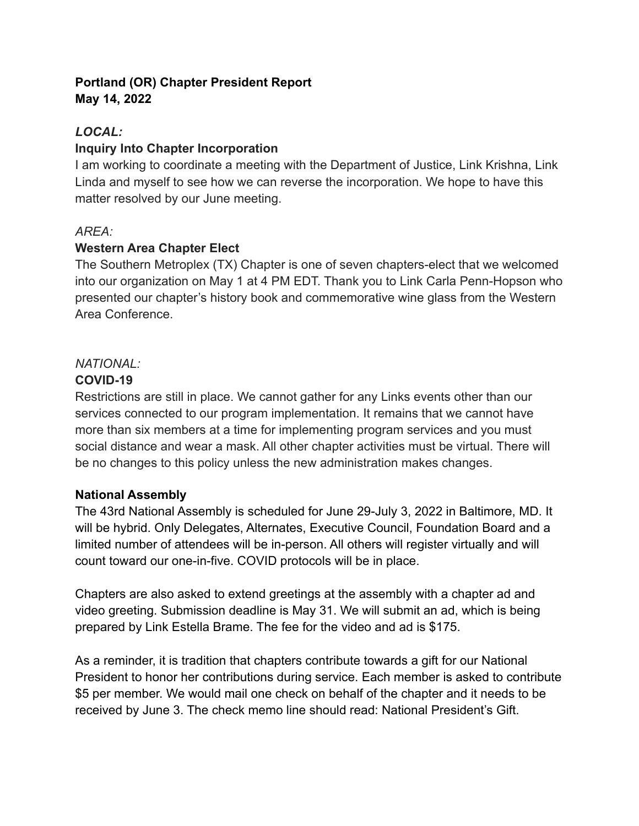### **Portland (OR) Chapter President Report May 14, 2022**

# *LOCAL:*

### **Inquiry Into Chapter Incorporation**

I am working to coordinate a meeting with the Department of Justice, Link Krishna, Link Linda and myself to see how we can reverse the incorporation. We hope to have this matter resolved by our June meeting.

### *AREA:*

### **Western Area Chapter Elect**

The Southern Metroplex (TX) Chapter is one of seven chapters-elect that we welcomed into our organization on May 1 at 4 PM EDT. Thank you to Link Carla Penn-Hopson who presented our chapter's history book and commemorative wine glass from the Western Area Conference.

## *NATIONAL:*

## **COVID-19**

Restrictions are still in place. We cannot gather for any Links events other than our services connected to our program implementation. It remains that we cannot have more than six members at a time for implementing program services and you must social distance and wear a mask. All other chapter activities must be virtual. There will be no changes to this policy unless the new administration makes changes.

#### **National Assembly**

The 43rd National Assembly is scheduled for June 29-July 3, 2022 in Baltimore, MD. It will be hybrid. Only Delegates, Alternates, Executive Council, Foundation Board and a limited number of attendees will be in-person. All others will register virtually and will count toward our one-in-five. COVID protocols will be in place.

Chapters are also asked to extend greetings at the assembly with a chapter ad and video greeting. Submission deadline is May 31. We will submit an ad, which is being prepared by Link Estella Brame. The fee for the video and ad is \$175.

As a reminder, it is tradition that chapters contribute towards a gift for our National President to honor her contributions during service. Each member is asked to contribute \$5 per member. We would mail one check on behalf of the chapter and it needs to be received by June 3. The check memo line should read: National President's Gift.